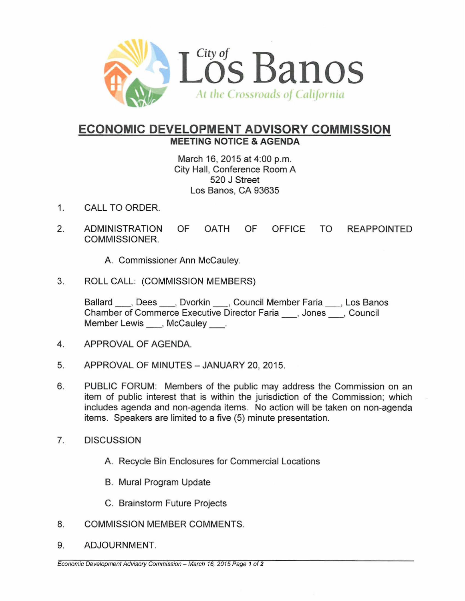

## **ECONOMIC DEVELOPMENT ADVISORY COMMISSION** MEETING NOTICE & AGENDA

March 16,2015 at 4:00 p.m. City Hall, Conference Room A 520 J Street Los Banos, CA 93635

- 1. CALL TO ORDER.
- 2. ADMINISTRATION OF OATH OF OFFICE TO REAPPOINTED COMMISSIONER.
	- A. Commissioner Ann McCauley.
- 3. ROLL CALL: (COMMISSION MEMBERS)

Ballard <sub>, Dees</sub> , Dvorkin , Council Member Faria , Los Banos<br>Chamber of Commerce Executive Director Faria , Jones , Council Member Lewis \_\_ , McCauley \_\_ .

- 4. APPROVAL OF AGENDA.
- 5. APPROVAL OF MINUTES JANUARY 20, 2015.
- 6. PUBLIC FORUM: Members of the public may address the Commission on an item of public interest that is within the jurisdiction of the Commission; which includes agenda and non-agenda items. No action will be taken on non-agenda items. Speakers are limited to a five (5) minute presentation.
- 7. DISCUSSION
	- A. Recycle Bin Enclosures for Commercial Locations
	- B. Mural Program Update
	- C. Brainstorm Future Projects
- 8. COMMISSION MEMBER COMMENTS.
- 9. ADJOURNMENT.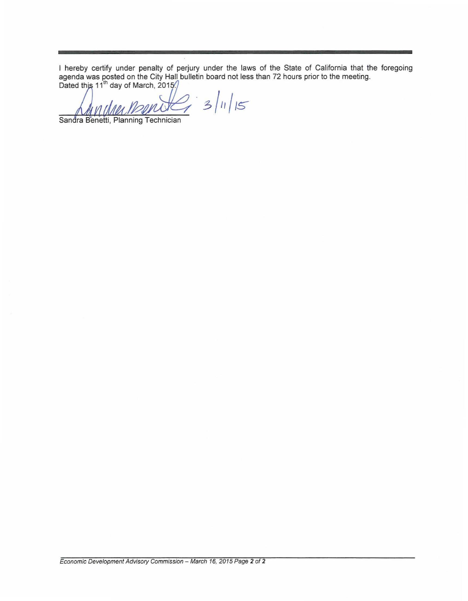I hereby certify under penalty of perjury under the laws of the State of California that the foregoing agenda was posted on the City Hall bulletin board not less than 72 hours prior to the meeting.<br>Dated this 11<sup>th</sup> day o

 $23/11/15$ 

Sandra Benetti, Planning Technician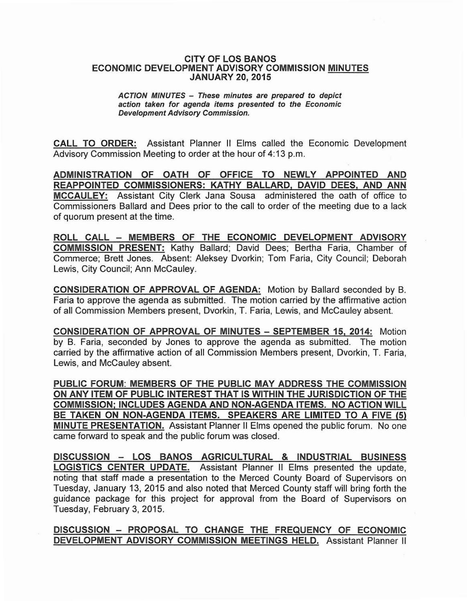## CITY OF LOS BANOS ECONOMIC DEVELOPMENT ADVISORY COMMISSION MINUTES JANUARY 20, 2015

## ACTION MINUTES - These minutes are prepared to depict action taken for agenda items presented to the Economic Development Advisory Commission.

CALL TO ORDER: Assistant Planner II Elms called the Economic Development Advisory Commission Meeting to order at the hour of 4:13 p.m.

ADMINISTRATION OF OATH OF OFFICE TO NEWLY APPOINTED AND REAPPOINTED COMMISSIONERS: KATHY BALLARD, DAVID DEES, AND ANN MCCAULEY: Assistant City Clerk Jana Sousa administered the oath of office to Commissioners Ballard and Dees prior to the call to order of the meeting due to a lack of quorum present at the time.

ROLL CALL - MEMBERS OF THE ECONOMIC DEVELOPMENT ADVISORY COMMISSION PRESENT: Kathy Ballard; David Dees; Bertha Faria, Chamber of Commerce; Brett Jones. Absent: Aleksey Dvorkin; Tom Faria, City Council; Deborah Lewis, City Council; Ann McCauley.

CONSIDERATION OF APPROVAL OF AGENDA: Motion by Ballard seconded by B. Faria to approve the agenda as submitted. The motion carried by the affirmative action of all Commission Members present, Dvorkin, T. Faria, Lewis, and McCauley absent.

CONSIDERATION OF APPROVAL OF MINUTES - SEPTEMBER 15, 2014: Motion by B. Faria, seconded by Jones to approve the agenda as SUbmitted. The motion carried by the affirmative action of all Commission Members present, Dvorkin, T. Faria, Lewis, and McCauley absent.

PUBLIC FORUM: MEMBERS OF THE PUBLIC MAY ADDRESS THE COMMISSION ON ANY ITEM OF PUBLIC INTEREST THAT IS WITHIN THE JURISDICTION OF THE COMMISSION; INCLUDES AGENDA AND NON-AGENDA ITEMS. NO ACTION WILL BE TAKEN ON NON-AGENDA ITEMS. SPEAKERS ARE LIMITED TO A FIVE (5) MINUTE PRESENTATION. Assistant Planner II Elms opened the public forum. No one came forward to speak and the public forum was closed.

DISCUSSION - LOS BANOS AGRICULTURAL & INDUSTRIAL BUSINESS LOGISTICS CENTER UPDATE. Assistant Planner II Elms presented the update, noting that staff made a presentation to the Merced County Board of Supervisors on Tuesday, January 13, 2015 and also noted that Merced County staff will bring forth the guidance package for this project for approval from the Board of Supervisors on Tuesday, February 3,2015.

DISCUSSION - PROPOSAL TO CHANGE THE FREQUENCY OF ECONOMIC DEVELOPMENT ADVISORY COMMISSION MEETINGS HELD. Assistant Planner II